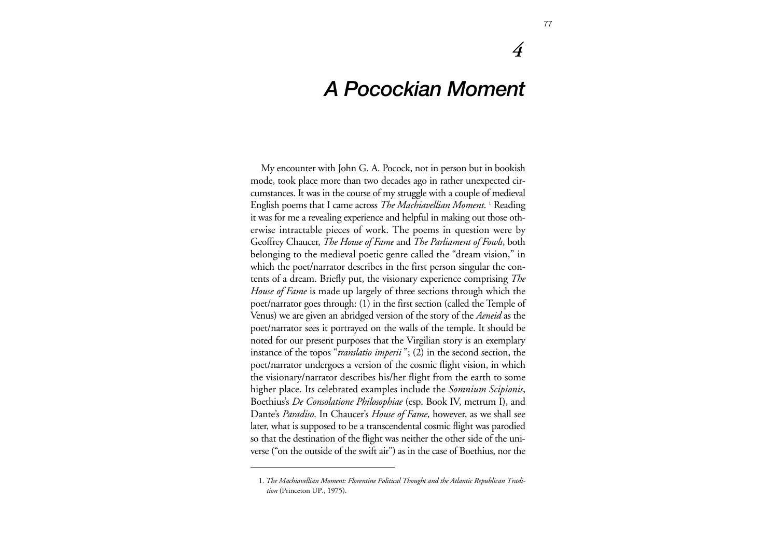## *A Pocockian Moment*

My encounter with John G. A. Pocock, not in person but in bookish mode, took place more than two decades ago in rather unexpected circumstances. It was in the course of my struggle with a couple of medieval English poems that I came across *The Machiavellian Moment*. <sup>1</sup> Reading it was for me a revealing experience and helpful in making out those otherwise intractable pieces of work. The poems in question were by Geoffrey Chaucer, *The House of Fame* and *The Parliament of Fowls*, both belonging to the medieval poetic genre called the "dream vision," in which the poet/narrator describes in the first person singular the contents of a dream. Briefly put, the visionary experience comprising *The House of Fame* is made up largely of three sections through which the poet/narrator goes through: (1) in the first section (called the Temple of Venus) we are given an abridged version of the story of the *Aeneid* as the poet/narrator sees it portrayed on the walls of the temple. It should be noted for our present purposes that the Virgilian story is an exemplary instance of the topos "*translatio imperii* "; (2) in the second section, the poet/narrator undergoes a version of the cosmic flight vision, in which the visionary/narrator describes his/her flight from the earth to some higher place. Its celebrated examples include the *Somnium Scipionis*, Boethius's *De Consolatione Philosophiae* (esp. Book IV, metrum I), and Dante's *Paradiso*. In Chaucer's *House of Fame*, however, as we shall see later, what is supposed to be a transcendental cosmic flight was parodied so that the destination of the flight was neither the other side of the universe ("on the outside of the swift air") as in the case of Boethius, nor the

*4*

<sup>1.</sup> *The Machiavellian Moment: Florentine Political Thought and the Atlantic Republican Tradition* (Princeton UP., 1975).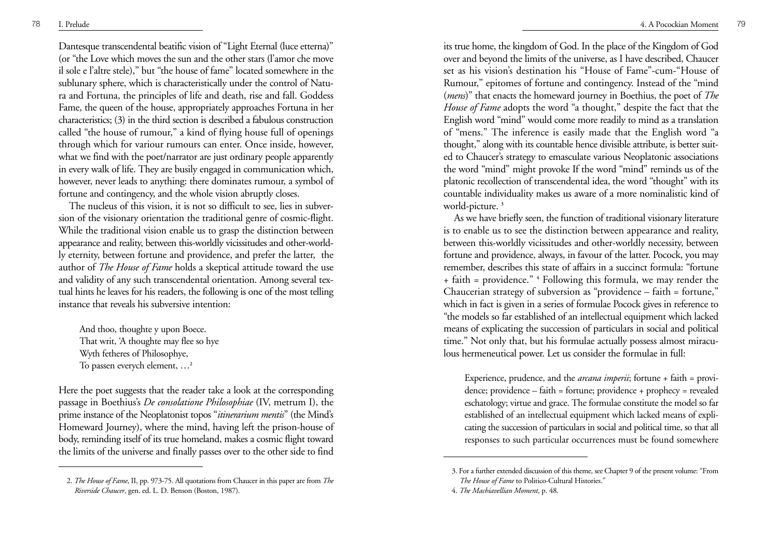Dantesque transcendental beatific vision of "Light Eternal (luce etterna)" (or "the Love which moves the sun and the other stars (l'amor che move il sole e l'altre stele)," but "the house of fame" located somewhere in the sublunary sphere, which is characteristically under the control of Natura and Fortuna, the principles of life and death, rise and fall. Goddess Fame, the queen of the house, appropriately approaches Fortuna in her characteristics; (3) in the third section is described a fabulous construction called "the house of rumour," a kind of flying house full of openings through which for variour rumours can enter. Once inside, however, what we find with the poet/narrator are just ordinary people apparently in every walk of life. They are busily engaged in communication which, however, never leads to anything: there dominates rumour, a symbol of fortune and contingency, and the whole vision abruptly closes.

The nucleus of this vision, it is not so difficult to see, lies in subversion of the visionary orientation the traditional genre of cosmic-flight. While the traditional vision enable us to grasp the distinction between appearance and reality, between this-worldly vicissitudes and other-worldly eternity, between fortune and providence, and prefer the latter, the author of *The House of Fame* holds a skeptical attitude toward the use and validity of any such transcendental orientation. Among several textual hints he leaves for his readers, the following is one of the most telling instance that reveals his subversive intention:

And thoo, thoughte y upon Boece. That writ, 'A thoughte may flee so hye Wyth fetheres of Philosophye, To passen everych element, …**<sup>2</sup>**

Here the poet suggests that the reader take a look at the corresponding passage in Boethius's *De consolatione Philosophiae* (IV, metrum I), the prime instance of the Neoplatonist topos "*itinerarium mentis*" (the Mind's Homeward Journey), where the mind, having left the prison-house of body, reminding itself of its true homeland, makes a cosmic flight toward the limits of the universe and finally passes over to the other side to find

its true home, the kingdom of God. In the place of the Kingdom of God over and beyond the limits of the universe, as I have described, Chaucer set as his vision's destination his "House of Fame"-cum-"House of Rumour," epitomes of fortune and contingency. Instead of the "mind (*mens*)" that enacts the homeward journey in Boethius, the poet of *The House of Fame* adopts the word "a thought," despite the fact that the English word "mind" would come more readily to mind as a translation of "mens." The inference is easily made that the English word "a thought," along with its countable hence divisible attribute, is better suited to Chaucer's strategy to emasculate various Neoplatonic associations the word "mind" might provoke If the word "mind" reminds us of the <sup>p</sup>latonic recollection of transcendental idea, the word "thought" with its countable individuality makes us aware of a more nominalistic kind of world-picture. **<sup>3</sup>**

As we have briefly seen, the function of traditional visionary literature is to enable us to see the distinction between appearance and reality, between this-worldly vicissitudes and other-worldly necessity, between fortune and providence, always, in favour of the latter. Pocock, you may remember, describes this state of affairs in a succinct formula: "fortune + faith = providence." **<sup>4</sup>** Following this formula, we may render the Chaucerian strategy of subversion as "providence – faith = fortune," which in fact is given in a series of formulae Pocock gives in reference to "the models so far established of an intellectual equipment which lacked means of explicating the succession of particulars in social and political time." Not only that, but his formulae actually possess almost miraculous hermeneutical power. Let us consider the formulae in full:

Experience, prudence, and the *arcana imperii*; fortune + faith = providence; providence – faith = fortune; providence + prophecy = revealed eschatology; virtue and grace. The formulae constitute the model so far established of an intellectual equipment which lacked means of explicating the succession of particulars in social and political time, so that all responses to such particular occurrences must be found somewhere

<sup>2.</sup> *The House of Fame*, II, pp. 973-75. All quotations from Chaucer in this paper are from *The Riverside Chaucer*, gen. ed. L. D. Benson (Boston, 1987).

<sup>3.</sup> For a further extended discussion of this theme, see Chapter 9 of the present volume: "From *The House of Fame* to Politico-Cultural Histories."

<sup>4.</sup> *The Machiavellian Moment*, p. 48.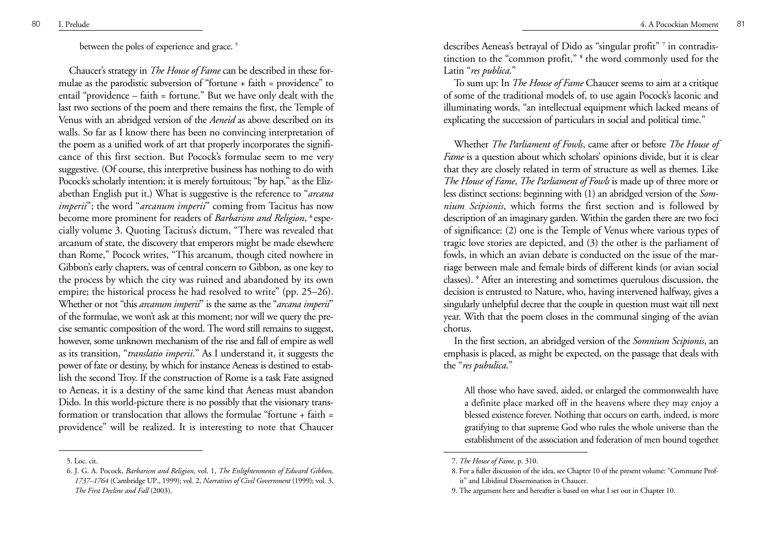between the poles of experience and grace. **<sup>5</sup>**

Chaucer's strategy in *The House of Fame* can be described in these formulae as the parodistic subversion of "fortune + faith = providence" to entail "providence – faith = fortune." But we have only dealt with the last two sections of the poem and there remains the first, the Temple of Venus with an abridged version of the *Aeneid* as above described on its walls. So far as I know there has been no convincing interpretation of the poem as a unified work of art that properly incorporates the significance of this first section. But Pocock's formulae seem to me very suggestive. (Of course, this interpretive business has nothing to do with Pocock's scholarly intention; it is merely fortuitous; "by hap," as the Elizabethan English put it.) What is suggestive is the reference to "*arcana imperii*"; the word "*arcanum imperii*" coming from Tacitus has now become more prominent for readers of *Barbarism and Religion*, **<sup>6</sup>**especially volume 3. Quoting Tacitus's dictum, "There was revealed that arcanum of state, the discovery that emperors might be made elsewhere than Rome," Pocock writes, "This arcanum, though cited nowhere in Gibbon's early chapters, was of central concern to Gibbon, as one key to the process by which the city was ruined and abandoned by its own empire; the historical process he had resolved to write" (pp. 25–26). Whether or not "this *arcanum imperii*" is the same as the "*arcana imperii*" of the formulae, we won't ask at this moment; nor will we query the precise semantic composition of the word. The word still remains to suggest, however, some unknown mechanism of the rise and fall of empire as well as its transition, "*translatio imperii*." As I understand it, it suggests the power of fate or destiny, by which for instance Aeneas is destined to establish the second Troy. If the construction of Rome is a task Fate assigned to Aeneas, it is a destiny of the same kind that Aeneas must abandon Dido. In this world-picture there is no possibly that the visionary transformation or translocation that allows the formulae "fortune + faith = providence" will be realized. It is interesting to note that Chaucer

5. Loc. cit.

describes Aeneas's betrayal of Dido as "singular profit" **<sup>7</sup>** in contradistinction to the "common profit," **<sup>8</sup>** the word commonly used for the Latin "*res publica*."

To sum up: In *The House of Fame* Chaucer seems to aim at a critique of some of the traditional models of, to use again Pocock's laconic and illuminating words, "an intellectual equipment which lacked means of explicating the succession of particulars in social and political time."

Whether *The Parliament of Fowls*, came after or before *The House of Fame* is a question about which scholars' opinions divide, but it is clear that they are closely related in term of structure as well as themes. Like *The House of Fame*, *The Parliament of Fowls* is made up of three more or less distinct sections: beginning with (1) an abridged version of the *Somnium Scipionis*, which forms the first section and is followed by description of an imaginary garden. Within the garden there are two foci of significance: (2) one is the Temple of Venus where various types of tragic love stories are depicted, and (3) the other is the parliament of fowls, in which an avian debate is conducted on the issue of the marriage between male and female birds of different kinds (or avian social classes). **<sup>9</sup>** After an interesting and sometimes querulous discussion, the decision is entrusted to Nature, who, having intervened halfway, gives a singularly unhelpful decree that the couple in question must wait till next year. With that the poem closes in the communal singing of the avian chorus.

In the first section, an abridged version of the *Somnium Scipionis*, an emphasis is placed, as might be expected, on the passage that deals with the "*res pubulica*."

All those who have saved, aided, or enlarged the commonwealth have a definite place marked off in the heavens where they may enjoy a blessed existence forever. Nothing that occurs on earth, indeed, is more gratifying to that supreme God who rules the whole universe than the establishment of the association and federation of men bound together

<sup>6.</sup> J. G. A. Pocock, *Barbarism and Religion*, vol. 1, *The Enlightenments of Edward Gibbon, 1737–1764* (Cambridge UP., 1999); vol. 2, *Narratives of Civil Government* (1999); vol. 3, *The First Decline and Fall* (2003).

<sup>7.</sup> *The House of Fame*, p. 310.

<sup>8.</sup> For a fuller discussion of the idea, see Chapter 10 of the present volume: "Commune Profit" and Libidinal Dissemination in Chaucer.

<sup>9.</sup> The argument here and hereafter is based on what I set out in Chapter 10.